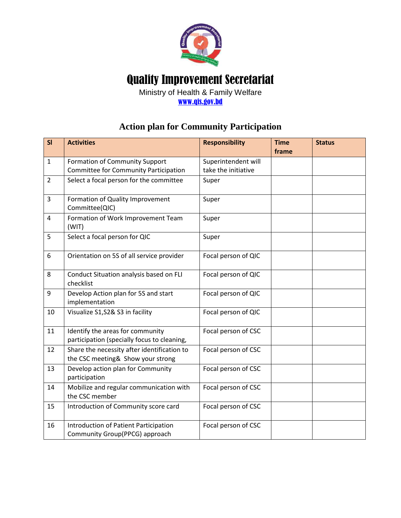

## Quality Improvement Secretariat

Ministry of Health & Family Welfare [www.qis.gov.bd](http://www.qis.gov.bd/)

## **Action plan for Community Participation**

| SI             | <b>Activities</b>                                                                | <b>Responsibility</b> | <b>Time</b> | <b>Status</b> |
|----------------|----------------------------------------------------------------------------------|-----------------------|-------------|---------------|
|                |                                                                                  |                       | frame       |               |
| $\mathbf{1}$   | Formation of Community Support                                                   | Superintendent will   |             |               |
|                | Committee for Community Participation                                            | take the initiative   |             |               |
| $\overline{2}$ | Select a focal person for the committee                                          | Super                 |             |               |
| 3              | Formation of Quality Improvement<br>Committee(QIC)                               | Super                 |             |               |
| $\overline{4}$ | Formation of Work Improvement Team<br>(WIT)                                      | Super                 |             |               |
| 5              | Select a focal person for QIC                                                    | Super                 |             |               |
| 6              | Orientation on 5S of all service provider                                        | Focal person of QIC   |             |               |
| 8              | Conduct Situation analysis based on FLI<br>checklist                             | Focal person of QIC   |             |               |
| 9              | Develop Action plan for 5S and start<br>implementation                           | Focal person of QIC   |             |               |
| 10             | Visualize S1, S2& S3 in facility                                                 | Focal person of QIC   |             |               |
| 11             | Identify the areas for community<br>participation (specially focus to cleaning,  | Focal person of CSC   |             |               |
| 12             | Share the necessity after identification to<br>the CSC meeting& Show your strong | Focal person of CSC   |             |               |
| 13             | Develop action plan for Community<br>participation                               | Focal person of CSC   |             |               |
| 14             | Mobilize and regular communication with<br>the CSC member                        | Focal person of CSC   |             |               |
| 15             | Introduction of Community score card                                             | Focal person of CSC   |             |               |
| 16             | Introduction of Patient Participation<br>Community Group(PPCG) approach          | Focal person of CSC   |             |               |